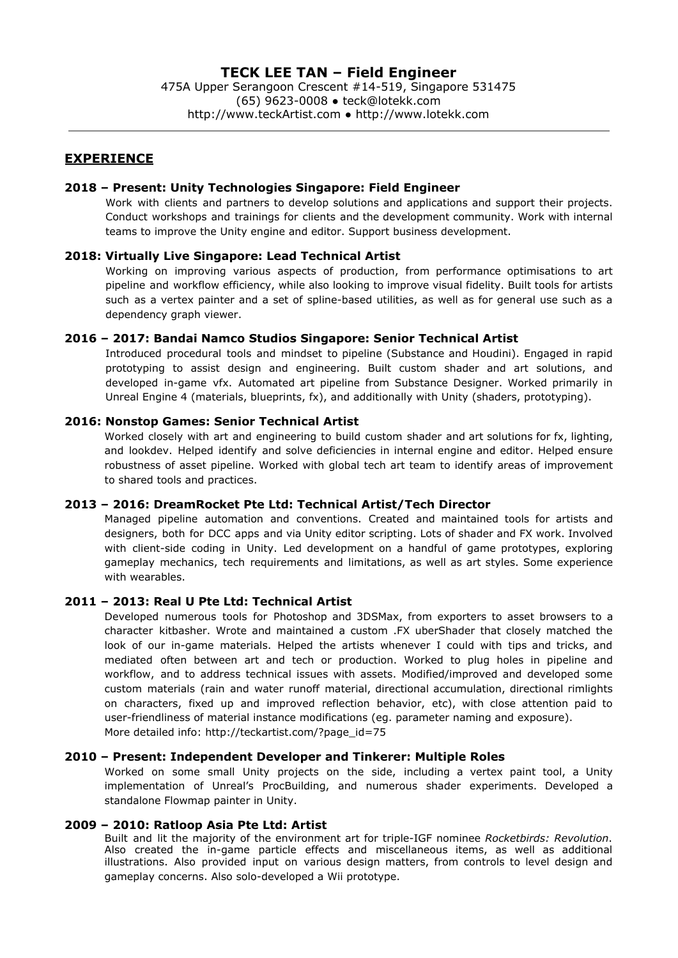475A Upper Serangoon Crescent #14-519, Singapore 531475 (65) 9623-0008 ● [teck@lotekk.com](mailto:teck@lotekk.com) http://www.teckArtist.com ● [http://www.lotekk.com](http://www.lotekk.com/)

## **EXPERIENCE**

## **2018 – Present: Unity Technologies Singapore: Field Engineer**

Work with clients and partners to develop solutions and applications and support their projects. Conduct workshops and trainings for clients and the development community. Work with internal teams to improve the Unity engine and editor. Support business development.

## **2018: Virtually Live Singapore: Lead Technical Artist**

Working on improving various aspects of production, from performance optimisations to art pipeline and workflow efficiency, while also looking to improve visual fidelity. Built tools for artists such as a vertex painter and a set of spline-based utilities, as well as for general use such as a dependency graph viewer.

## **2016 – 2017: Bandai Namco Studios Singapore: Senior Technical Artist**

Introduced procedural tools and mindset to pipeline (Substance and Houdini). Engaged in rapid prototyping to assist design and engineering. Built custom shader and art solutions, and developed in-game vfx. Automated art pipeline from Substance Designer. Worked primarily in Unreal Engine 4 (materials, blueprints, fx), and additionally with Unity (shaders, prototyping).

## **2016: Nonstop Games: Senior Technical Artist**

Worked closely with art and engineering to build custom shader and art solutions for fx, lighting, and lookdev. Helped identify and solve deficiencies in internal engine and editor. Helped ensure robustness of asset pipeline. Worked with global tech art team to identify areas of improvement to shared tools and practices.

### **2013 – 2016: DreamRocket Pte Ltd: Technical Artist/Tech Director**

Managed pipeline automation and conventions. Created and maintained tools for artists and designers, both for DCC apps and via Unity editor scripting. Lots of shader and FX work. Involved with client-side coding in Unity. Led development on a handful of game prototypes, exploring gameplay mechanics, tech requirements and limitations, as well as art styles. Some experience with wearables.

## **2011 – 2013: Real U Pte Ltd: Technical Artist**

Developed numerous tools for Photoshop and 3DSMax, from exporters to asset browsers to a character kitbasher. Wrote and maintained a custom .FX uberShader that closely matched the look of our in-game materials. Helped the artists whenever I could with tips and tricks, and mediated often between art and tech or production. Worked to plug holes in pipeline and workflow, and to address technical issues with assets. Modified/improved and developed some custom materials (rain and water runoff material, directional accumulation, directional rimlights on characters, fixed up and improved reflection behavior, etc), with close attention paid to user-friendliness of material instance modifications (eg. parameter naming and exposure). More detailed info: [http://teckartist.com/?page\\_id=75](http://teckartist.com/?page_id=75)

#### **2010 – Present: Independent Developer and Tinkerer: Multiple Roles**

Worked on some small Unity projects on the side, including a vertex paint tool, a Unity implementation of Unreal's ProcBuilding, and numerous shader experiments. Developed a standalone Flowmap painter in Unity.

## **2009 – 2010: Ratloop Asia Pte Ltd: Artist**

Built and lit the majority of the environment art for triple-IGF nominee *Rocketbirds: Revolution*. Also created the in-game particle effects and miscellaneous items, as well as additional illustrations. Also provided input on various design matters, from controls to level design and gameplay concerns. Also solo-developed a Wii prototype.